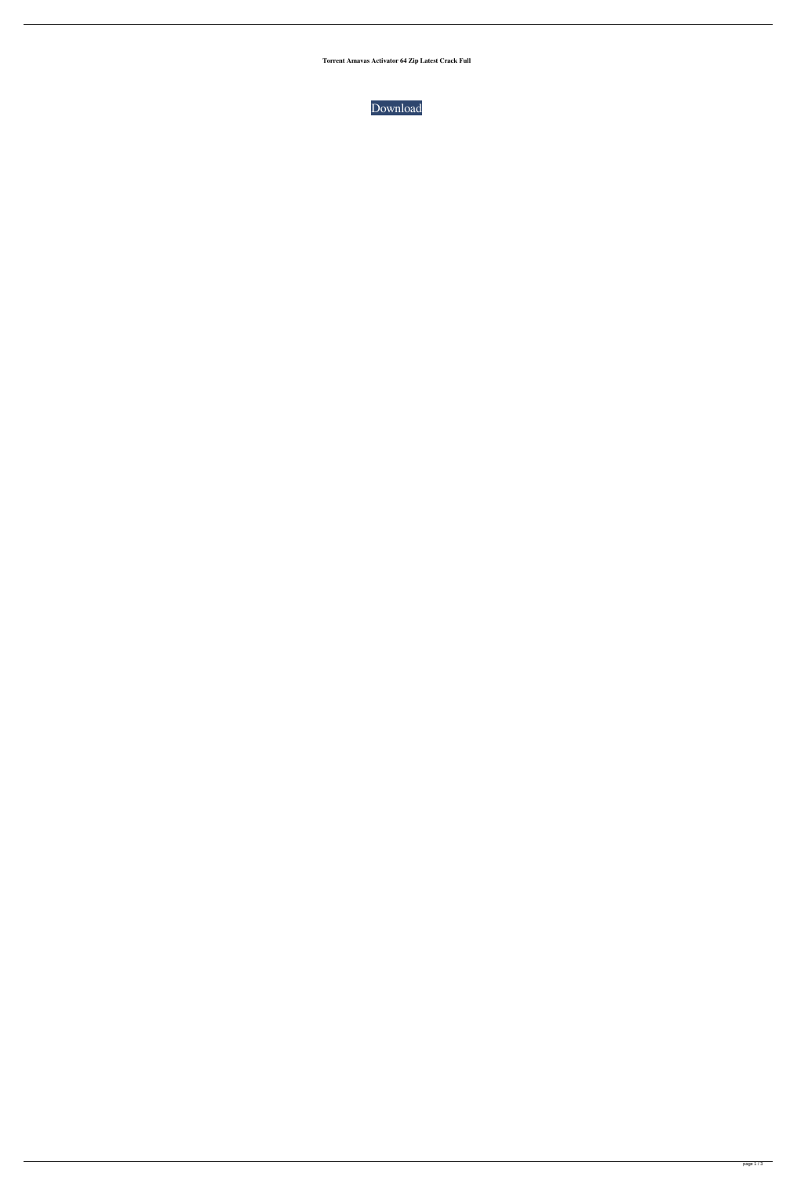**Torrent Amavas Activator 64 Zip Latest Crack Full**

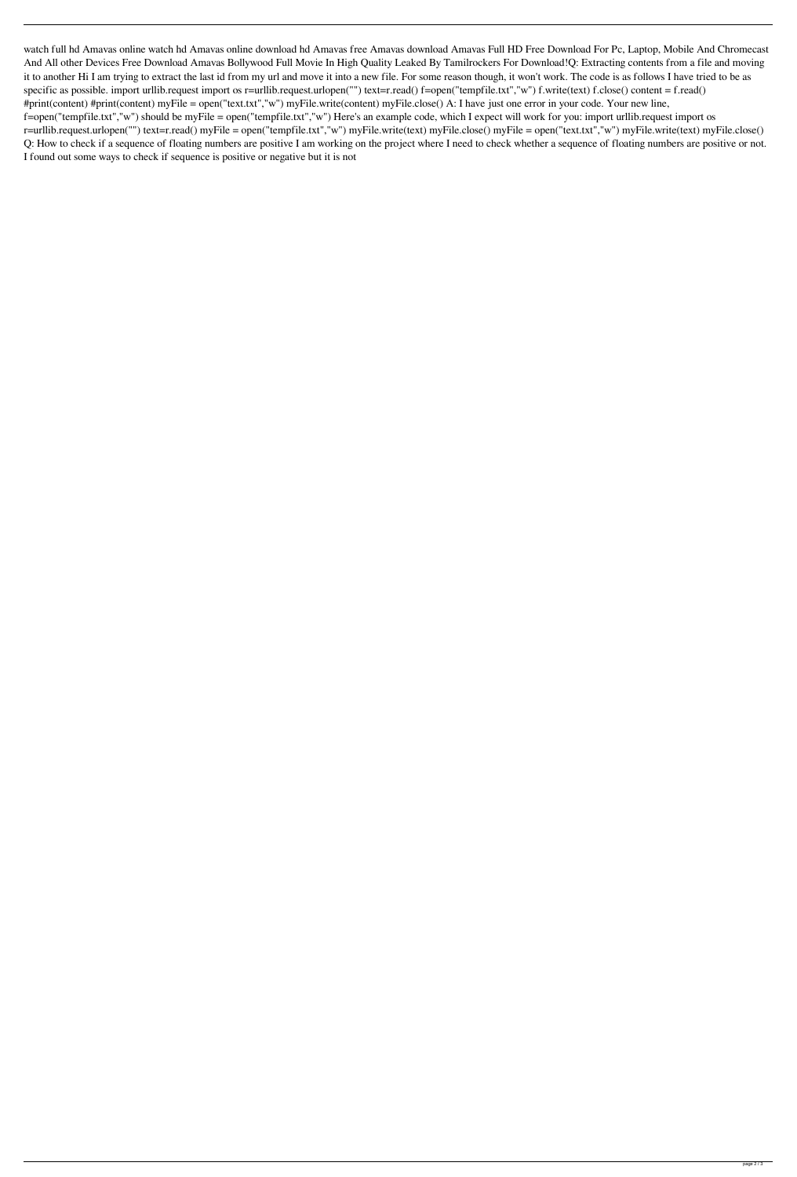watch full hd Amavas online watch hd Amavas online download hd Amavas free Amavas download Amavas Full HD Free Download For Pc, Laptop, Mobile And Chromecast And All other Devices Free Download Amavas Bollywood Full Movie In High Quality Leaked By Tamilrockers For Download!Q: Extracting contents from a file and moving it to another Hi I am trying to extract the last id from my url and move it into a new file. For some reason though, it won't work. The code is as follows I have tried to be as specific as possible. import urllib.request import os r=urllib.request.urlopen("") text=r.read() f=open("tempfile.txt","w") f.write(text) f.close() content = f.read() #print(content) #print(content) myFile = open("text.txt","w") myFile.write(content) myFile.close() A: I have just one error in your code. Your new line, f=open("tempfile.txt","w") should be myFile = open("tempfile.txt","w") Here's an example code, which I expect will work for you: import urllib.request import os r=urllib.request.urlopen("") text=r.read() myFile = open("tempfile.txt","w") myFile.write(text) myFile.close() myFile = open("text.txt","w") myFile.write(text) myFile.close() Q: How to check if a sequence of floating numbers are positive I am working on the project where I need to check whether a sequence of floating numbers are positive or not. I found out some ways to check if sequence is positive or negative but it is not